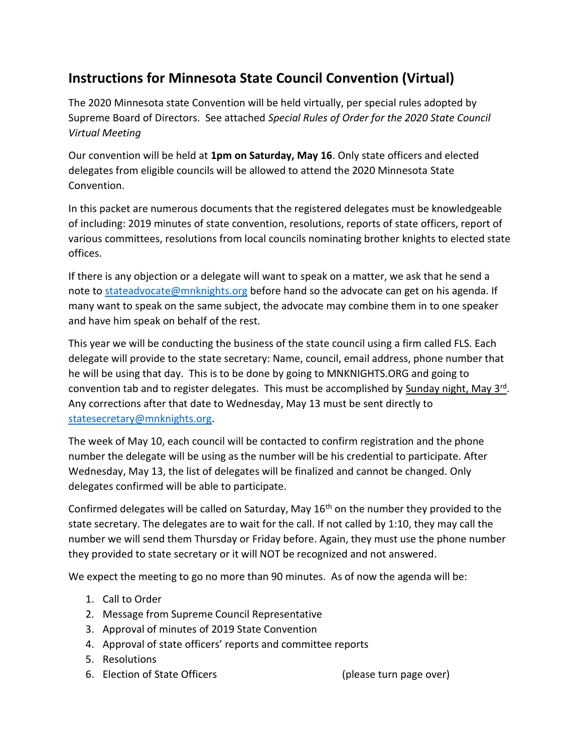## **Instructions for Minnesota State Council Convention (Virtual)**

The 2020 Minnesota state Convention will be held virtually, per special rules adopted by Supreme Board of Directors. See attached *Special Rules of Order for the 2020 State Council Virtual Meeting*

Our convention will be held at **1pm on Saturday, May 16**. Only state officers and elected delegates from eligible councils will be allowed to attend the 2020 Minnesota State Convention.

In this packet are numerous documents that the registered delegates must be knowledgeable of including: 2019 minutes of state convention, resolutions, reports of state officers, report of various committees, resolutions from local councils nominating brother knights to elected state offices.

If there is any objection or a delegate will want to speak on a matter, we ask that he send a note to [stateadvocate@mnknights.org](mailto:stateadvocate@mnknights.org) before hand so the advocate can get on his agenda. If many want to speak on the same subject, the advocate may combine them in to one speaker and have him speak on behalf of the rest.

This year we will be conducting the business of the state council using a firm called FLS. Each delegate will provide to the state secretary: Name, council, email address, phone number that he will be using that day. This is to be done by going to MNKNIGHTS.ORG and going to convention tab and to register delegates. This must be accomplished by Sunday night, May 3<sup>rd</sup>. Any corrections after that date to Wednesday, May 13 must be sent directly to [statesecretary@mnknights.org.](mailto:statesecretary@mnknights.org)

The week of May 10, each council will be contacted to confirm registration and the phone number the delegate will be using as the number will be his credential to participate. After Wednesday, May 13, the list of delegates will be finalized and cannot be changed. Only delegates confirmed will be able to participate.

Confirmed delegates will be called on Saturday, May 16<sup>th</sup> on the number they provided to the state secretary. The delegates are to wait for the call. If not called by 1:10, they may call the number we will send them Thursday or Friday before. Again, they must use the phone number they provided to state secretary or it will NOT be recognized and not answered.

We expect the meeting to go no more than 90 minutes. As of now the agenda will be:

- 1. Call to Order
- 2. Message from Supreme Council Representative
- 3. Approval of minutes of 2019 State Convention
- 4. Approval of state officers' reports and committee reports
- 5. Resolutions
- 6. Election of State Officers (please turn page over)